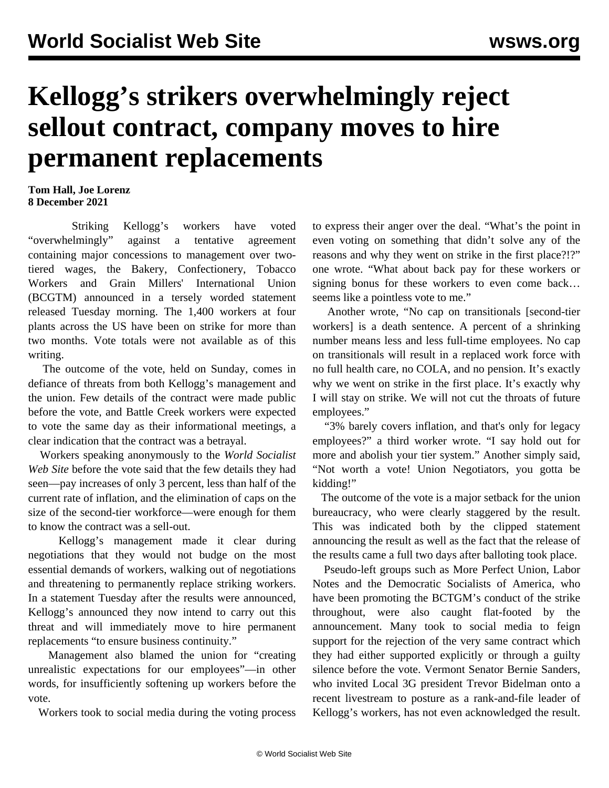## **Kellogg's strikers overwhelmingly reject sellout contract, company moves to hire permanent replacements**

**Tom Hall, Joe Lorenz 8 December 2021**

 Striking Kellogg's workers have voted "overwhelmingly" against a tentative agreement containing major concessions to management over twotiered wages, the Bakery, Confectionery, Tobacco Workers and Grain Millers' International Union (BCGTM) announced in a tersely worded statement released Tuesday morning. The 1,400 workers at four plants across the US have been on strike for more than two months. Vote totals were not available as of this writing.

 The outcome of the vote, held on Sunday, comes in defiance of threats from both Kellogg's management and the union. Few details of the [contract](/en/articles/2021/12/03/kell-d03.html) were made public before the vote, and Battle Creek workers were expected to vote the same day as their informational meetings, a clear indication that the contract was a betrayal.

 Workers speaking anonymously to the *World Socialist Web Site* before the vote said that the few details they had seen—pay increases of only 3 percent, less than half of the current rate of inflation, and the elimination of caps on the size of the second-tier workforce—were enough for them to know the contract was a sell-out.

 Kellogg's management made it clear during negotiations that they would not budge on the most essential demands of workers, walking out of negotiations and threatening to permanently replace striking workers. In a statement Tuesday after the results were announced, Kellogg's announced they now intend to carry out this threat and will immediately move to hire permanent replacements "to ensure business continuity."

 Management also blamed the union for "creating unrealistic expectations for our employees"—in other words, for insufficiently softening up workers before the vote.

Workers took to social media during the voting process

to express their anger over the deal. "What's the point in even voting on something that didn't solve any of the reasons and why they went on strike in the first place?!?" one wrote. "What about back pay for these workers or signing bonus for these workers to even come back… seems like a pointless vote to me."

 Another wrote, "No cap on transitionals [second-tier workers] is a death sentence. A percent of a shrinking number means less and less full-time employees. No cap on transitionals will result in a replaced work force with no full health care, no COLA, and no pension. It's exactly why we went on strike in the first place. It's exactly why I will stay on strike. We will not cut the throats of future employees."

 "3% barely covers inflation, and that's only for legacy employees?" a third worker wrote. "I say hold out for more and abolish your tier system." Another simply said, "Not worth a vote! Union Negotiators, you gotta be kidding!"

 The outcome of the vote is a major setback for the union bureaucracy, who were clearly staggered by the result. This was indicated both by the clipped statement announcing the result as well as the fact that the release of the results came a full two days after balloting took place.

 Pseudo-left groups such as More Perfect Union, Labor Notes and the Democratic Socialists of America, who have been promoting the BCTGM's conduct of the strike throughout, were also caught flat-footed by the announcement. Many took to social media to feign support for the rejection of the very same contract which they had either supported explicitly or through a guilty silence before the vote. Vermont Senator Bernie Sanders, who invited Local 3G president Trevor Bidelman onto a recent livestream to posture as a rank-and-file leader of Kellogg's workers, has not even acknowledged the result.